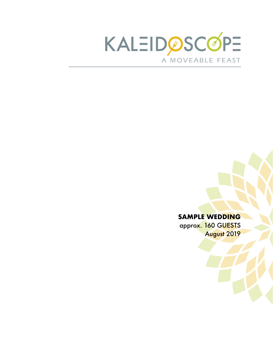

#### **SAMPLE WEDDING**

approx. 160 GUESTS August 2019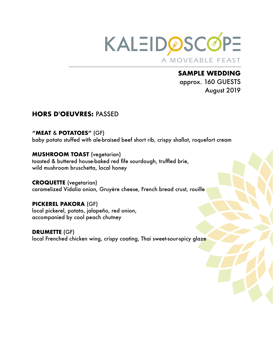

**SAMPLE WEDDING**  approx. 160 GUESTS August 2019

### **HORS D'OEUVRES:** PASSED

**"MEAT** & **POTATOES"** (GF) baby potato stuffed with ale-braised beef short rib, crispy shallot, roquefort cream

#### **MUSHROOM TOAST (vegetarian)**

toasted & buttered house-baked red fife sourdough, truffled brie, wild mushroom bruschetta, local honey

**CROQUETTE** (vegetarian) caramelized Vidalia onion, Gruyère cheese, French bread crust, rouille

**PICKEREL PAKORA** (GF) local pickerel, potato, jalapeño, red onion, accompanied by cool peach chutney

**DRUMETTE** (GF) local Frenched chicken wing, crispy coating, Thai sweet-sour-spicy glaze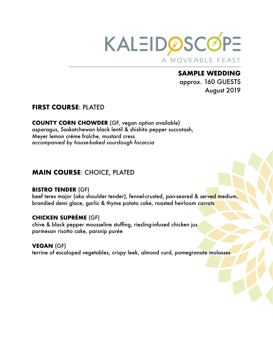

**SAMPLE WEDDING**  approx. 160 GUESTS August 2019

### **FIRST COURSE**: PLATED

**COUNTY CORN CHOWDER** (GF, vegan option available) asparagus, Saskatchewan black lentil & shishito pepper succotash, Meyer lemon créme fraîche, mustard cress *accompanied by house-baked sourdough focaccia* 

## **MAIN COURSE**: CHOICE, PLATED

#### **BISTRO TENDER** (GF)

beef teres major (aka shoulder tender), fennel-crusted, pan-seared & served medium, brandied demi glace, garlic & thyme potato cake, roasted heirloom carrots

### **CHICKEN SUPRÉME** (GF)

chive & black pepper mousseline stuffing, riesling-infused chicken jus parmesan risotto cake, parsnip purée

#### **VEGAN** (GF)

terrine of escaloped vegetables, crispy leek, almond curd, pomegranate molasses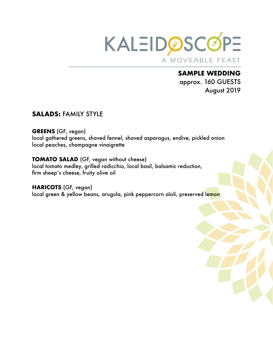

**SAMPLE WEDDING**  approx. 160 GUESTS August 2019

### **SALADS:** FAMILY STYLE

**GREENS** (GF, vegan)

local gathered greens, shaved fennel, shaved asparagus, endive, pickled onion local peaches, champagne vinaigrette

#### **TOMATO SALAD** (GF, vegan without cheese)

local tomato medley, grilled radicchio, local basil, balsamic reduction, firm sheep's cheese, fruity olive oil

**HARICOTS** (GF, vegan) local green & yellow beans, arugula, pink peppercorn aïoli, preserved lemon